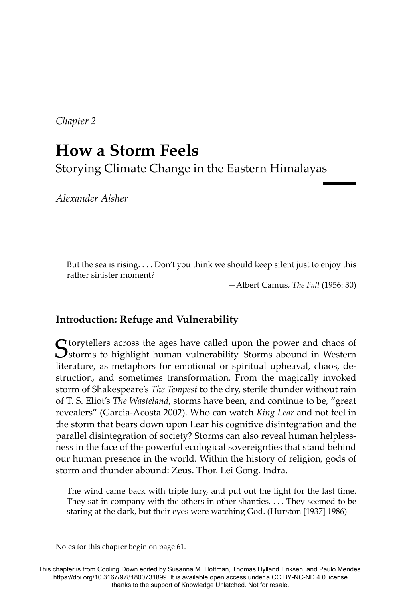*Chapter 2*

# **How a Storm Feels** Storying Climate Change in the Eastern Himalayas

*Alexander Aisher*

But the sea is rising. . . . Don't you think we should keep silent just to enjoy this rather sinister moment?

—Albert Camus, *The Fall* (1956: 30)

# **Introduction: Refuge and Vulnerability**

Storytellers across the ages have called upon the power and chaos of Storms to highlight human vulnerability. Storms abound in Western literature, as metaphors for emotional or spiritual upheaval, chaos, destruction, and sometimes transformation. From the magically invoked storm of Shakespeare's *The Tempest* to the dry, sterile thunder without rain of T. S. Eliot's *The Wasteland*, storms have been, and continue to be, "great revealers" (Garcia-Acosta 2002). Who can watch *King Lear* and not feel in the storm that bears down upon Lear his cognitive disintegration and the parallel disintegration of society? Storms can also reveal human helplessness in the face of the powerful ecological sovereignties that stand behind our human presence in the world. Within the history of religion, gods of storm and thunder abound: Zeus. Thor. Lei Gong. Indra.

The wind came back with triple fury, and put out the light for the last time. They sat in company with the others in other shanties. . . . They seemed to be staring at the dark, but their eyes were watching God. (Hurston [1937] 1986)

Notes for this chapter begin on page 61.

This chapter is from Cooling Down edited by Susanna M. Hoffman, Thomas Hylland Eriksen, and Paulo Mendes. https://doi.org/10.3167/9781800731899. It is available open access under a CC BY-NC-ND 4.0 license thanks to the support of Knowledge Unlatched. Not for resale.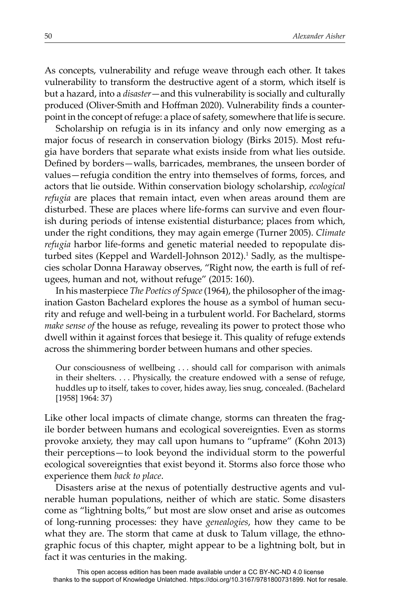As concepts, vulnerability and refuge weave through each other. It takes vulnerability to transform the destructive agent of a storm, which itself is but a hazard, into a *disaster*—and this vulnerability is socially and culturally produced (Oliver-Smith and Hoffman 2020). Vulnerability finds a counterpoint in the concept of refuge: a place of safety, somewhere that life is secure.

Scholarship on refugia is in its infancy and only now emerging as a major focus of research in conservation biology (Birks 2015). Most refugia have borders that separate what exists inside from what lies outside. Defined by borders—walls, barricades, membranes, the unseen border of values—refugia condition the entry into themselves of forms, forces, and actors that lie outside. Within conservation biology scholarship, *ecological refugia* are places that remain intact, even when areas around them are disturbed. These are places where life-forms can survive and even flourish during periods of intense existential disturbance; places from which, under the right conditions, they may again emerge (Turner 2005). *Climate refugia* harbor life-forms and genetic material needed to repopulate disturbed sites (Keppel and Wardell-Johnson 2012).<sup>1</sup> Sadly, as the multispecies scholar Donna Haraway observes, "Right now, the earth is full of refugees, human and not, without refuge" (2015: 160).

In his masterpiece *The Poetics of Space* (1964), the philosopher of the imagination Gaston Bachelard explores the house as a symbol of human security and refuge and well-being in a turbulent world. For Bachelard, storms *make sense of* the house as refuge, revealing its power to protect those who dwell within it against forces that besiege it. This quality of refuge extends across the shimmering border between humans and other species.

Our consciousness of wellbeing . . . should call for comparison with animals in their shelters. . . . Physically, the creature endowed with a sense of refuge, huddles up to itself, takes to cover, hides away, lies snug, concealed. (Bachelard [1958] 1964: 37)

Like other local impacts of climate change, storms can threaten the fragile border between humans and ecological sovereignties. Even as storms provoke anxiety, they may call upon humans to "upframe" (Kohn 2013) their perceptions—to look beyond the individual storm to the powerful ecological sovereignties that exist beyond it. Storms also force those who experience them *back to place*.

Disasters arise at the nexus of potentially destructive agents and vulnerable human populations, neither of which are static. Some disasters come as "lightning bolts," but most are slow onset and arise as outcomes of long-running processes: they have *genealogies*, how they came to be what they are. The storm that came at dusk to Talum village, the ethnographic focus of this chapter, might appear to be a lightning bolt, but in fact it was centuries in the making.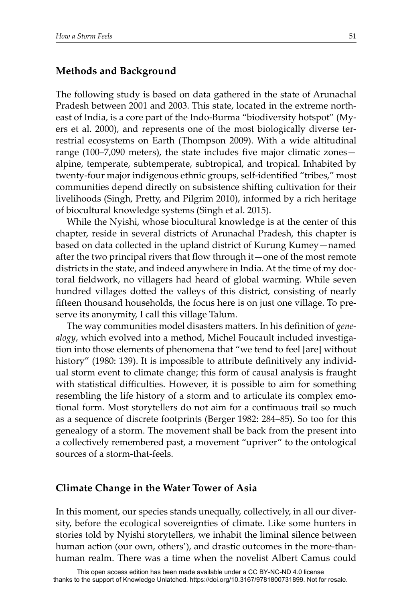## **Methods and Background**

The following study is based on data gathered in the state of Arunachal Pradesh between 2001 and 2003. This state, located in the extreme northeast of India, is a core part of the Indo-Burma "biodiversity hotspot" (Myers et al. 2000), and represents one of the most biologically diverse terrestrial ecosystems on Earth (Thompson 2009). With a wide altitudinal range (100–7,090 meters), the state includes five major climatic zones $$ alpine, temperate, subtemperate, subtropical, and tropical. Inhabited by twenty-four major indigenous ethnic groups, self-identified "tribes," most communities depend directly on subsistence shifting cultivation for their livelihoods (Singh, Pretty, and Pilgrim 2010), informed by a rich heritage of biocultural knowledge systems (Singh et al. 2015).

While the Nyishi, whose biocultural knowledge is at the center of this chapter, reside in several districts of Arunachal Pradesh, this chapter is based on data collected in the upland district of Kurung Kumey—named after the two principal rivers that flow through it—one of the most remote districts in the state, and indeed anywhere in India. At the time of my doctoral fieldwork, no villagers had heard of global warming. While seven hundred villages dotted the valleys of this district, consisting of nearly fifteen thousand households, the focus here is on just one village. To preserve its anonymity, I call this village Talum.

The way communities model disasters matters. In his definition of *genealogy*, which evolved into a method, Michel Foucault included investigation into those elements of phenomena that "we tend to feel [are] without history" (1980: 139). It is impossible to attribute definitively any individual storm event to climate change; this form of causal analysis is fraught with statistical difficulties. However, it is possible to aim for something resembling the life history of a storm and to articulate its complex emotional form. Most storytellers do not aim for a continuous trail so much as a sequence of discrete footprints (Berger 1982: 284–85). So too for this genealogy of a storm. The movement shall be back from the present into a collectively remembered past, a movement "upriver" to the ontological sources of a storm-that-feels.

#### **Climate Change in the Water Tower of Asia**

In this moment, our species stands unequally, collectively, in all our diversity, before the ecological sovereignties of climate. Like some hunters in stories told by Nyishi storytellers, we inhabit the liminal silence between human action (our own, others'), and drastic outcomes in the more-thanhuman realm. There was a time when the novelist Albert Camus could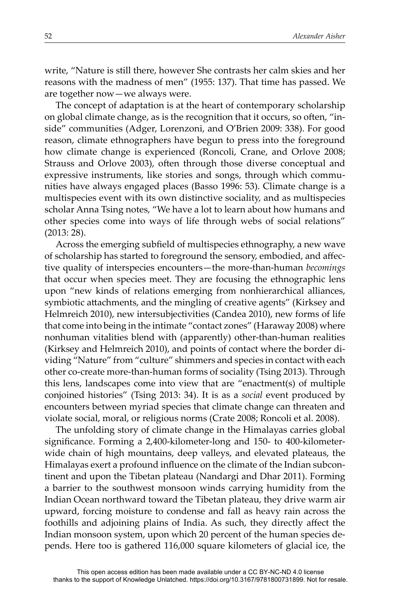write, "Nature is still there, however She contrasts her calm skies and her reasons with the madness of men" (1955: 137). That time has passed. We are together now—we always were.

The concept of adaptation is at the heart of contemporary scholarship on global climate change, as is the recognition that it occurs, so often, "inside" communities (Adger, Lorenzoni, and O'Brien 2009: 338). For good reason, climate ethnographers have begun to press into the foreground how climate change is experienced (Roncoli, Crane, and Orlove 2008; Strauss and Orlove 2003), often through those diverse conceptual and expressive instruments, like stories and songs, through which communities have always engaged places (Basso 1996: 53). Climate change is a multispecies event with its own distinctive sociality, and as multispecies scholar Anna Tsing notes, "We have a lot to learn about how humans and other species come into ways of life through webs of social relations" (2013: 28).

Across the emerging subfield of multispecies ethnography, a new wave of scholarship has started to foreground the sensory, embodied, and affective quality of interspecies encounters—the more-than-human *becomings* that occur when species meet. They are focusing the ethnographic lens upon "new kinds of relations emerging from nonhierarchical alliances, symbiotic attachments, and the mingling of creative agents" (Kirksey and Helmreich 2010), new intersubjectivities (Candea 2010), new forms of life that come into being in the intimate "contact zones" (Haraway 2008) where nonhuman vitalities blend with (apparently) other-than-human realities (Kirksey and Helmreich 2010), and points of contact where the border dividing "Nature" from "culture" shimmers and species in contact with each other co-create more-than-human forms of sociality (Tsing 2013). Through this lens, landscapes come into view that are "enactment(s) of multiple conjoined histories" (Tsing 2013: 34). It is as a *social* event produced by encounters between myriad species that climate change can threaten and violate social, moral, or religious norms (Crate 2008; Roncoli et al. 2008).

The unfolding story of climate change in the Himalayas carries global significance. Forming a 2,400-kilometer-long and 150- to 400-kilometerwide chain of high mountains, deep valleys, and elevated plateaus, the Himalayas exert a profound influence on the climate of the Indian subcontinent and upon the Tibetan plateau (Nandargi and Dhar 2011). Forming a barrier to the southwest monsoon winds carrying humidity from the Indian Ocean northward toward the Tibetan plateau, they drive warm air upward, forcing moisture to condense and fall as heavy rain across the foothills and adjoining plains of India. As such, they directly affect the Indian monsoon system, upon which 20 percent of the human species depends. Here too is gathered 116,000 square kilometers of glacial ice, the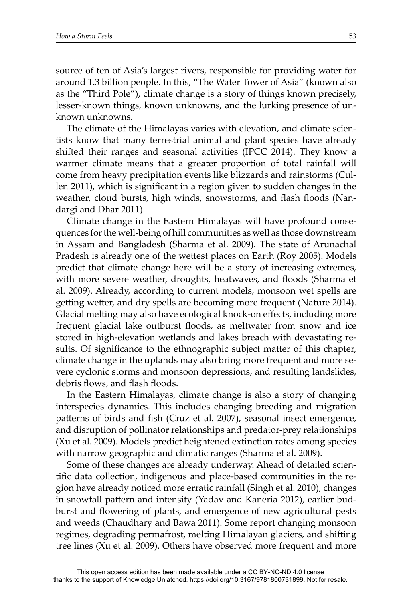source of ten of Asia's largest rivers, responsible for providing water for around 1.3 billion people. In this, "The Water Tower of Asia" (known also as the "Third Pole"), climate change is a story of things known precisely, lesser-known things, known unknowns, and the lurking presence of unknown unknowns.

The climate of the Himalayas varies with elevation, and climate scientists know that many terrestrial animal and plant species have already shifted their ranges and seasonal activities (IPCC 2014). They know a warmer climate means that a greater proportion of total rainfall will come from heavy precipitation events like blizzards and rainstorms (Cullen 2011), which is significant in a region given to sudden changes in the weather, cloud bursts, high winds, snowstorms, and flash floods (Nandargi and Dhar 2011).

Climate change in the Eastern Himalayas will have profound consequences for the well-being of hill communities as well as those downstream in Assam and Bangladesh (Sharma et al. 2009). The state of Arunachal Pradesh is already one of the wettest places on Earth (Roy 2005). Models predict that climate change here will be a story of increasing extremes, with more severe weather, droughts, heatwaves, and floods (Sharma et al. 2009). Already, according to current models, monsoon wet spells are getting wetter, and dry spells are becoming more frequent (Nature 2014). Glacial melting may also have ecological knock-on effects, including more frequent glacial lake outburst floods, as meltwater from snow and ice stored in high-elevation wetlands and lakes breach with devastating results. Of significance to the ethnographic subject matter of this chapter, climate change in the uplands may also bring more frequent and more severe cyclonic storms and monsoon depressions, and resulting landslides, debris flows, and flash floods.

In the Eastern Himalayas, climate change is also a story of changing interspecies dynamics. This includes changing breeding and migration patterns of birds and fish (Cruz et al. 2007), seasonal insect emergence, and disruption of pollinator relationships and predator-prey relationships (Xu et al. 2009). Models predict heightened extinction rates among species with narrow geographic and climatic ranges (Sharma et al. 2009).

Some of these changes are already underway. Ahead of detailed scientific data collection, indigenous and place-based communities in the region have already noticed more erratic rainfall (Singh et al. 2010), changes in snowfall pattern and intensity (Yadav and Kaneria 2012), earlier budburst and flowering of plants, and emergence of new agricultural pests and weeds (Chaudhary and Bawa 2011). Some report changing monsoon regimes, degrading permafrost, melting Himalayan glaciers, and shifting tree lines (Xu et al. 2009). Others have observed more frequent and more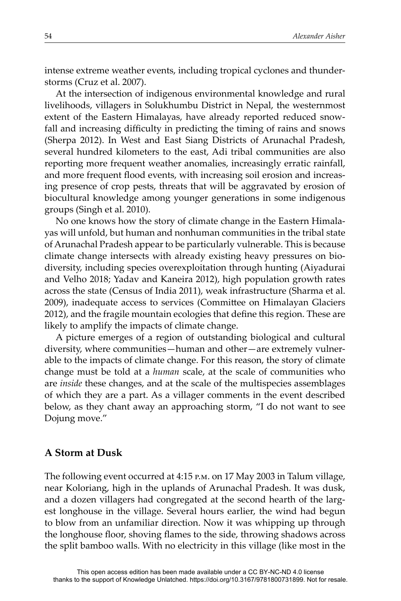intense extreme weather events, including tropical cyclones and thunderstorms (Cruz et al. 2007).

At the intersection of indigenous environmental knowledge and rural livelihoods, villagers in Solukhumbu District in Nepal, the westernmost extent of the Eastern Himalayas, have already reported reduced snowfall and increasing difficulty in predicting the timing of rains and snows (Sherpa 2012). In West and East Siang Districts of Arunachal Pradesh, several hundred kilometers to the east, Adi tribal communities are also reporting more frequent weather anomalies, increasingly erratic rainfall, and more frequent flood events, with increasing soil erosion and increasing presence of crop pests, threats that will be aggravated by erosion of biocultural knowledge among younger generations in some indigenous groups (Singh et al. 2010).

No one knows how the story of climate change in the Eastern Himalayas will unfold, but human and nonhuman communities in the tribal state of Arunachal Pradesh appear to be particularly vulnerable. This is because climate change intersects with already existing heavy pressures on biodiversity, including species overexploitation through hunting (Aiyadurai and Velho 2018; Yadav and Kaneira 2012), high population growth rates across the state (Census of India 2011), weak infrastructure (Sharma et al. 2009), inadequate access to services (Committee on Himalayan Glaciers 2012), and the fragile mountain ecologies that define this region. These are likely to amplify the impacts of climate change.

A picture emerges of a region of outstanding biological and cultural diversity, where communities—human and other—are extremely vulnerable to the impacts of climate change. For this reason, the story of climate change must be told at a *human* scale, at the scale of communities who are *inside* these changes, and at the scale of the multispecies assemblages of which they are a part. As a villager comments in the event described below, as they chant away an approaching storm, "I do not want to see Dojung move."

#### **A Storm at Dusk**

The following event occurred at 4:15 p.m. on 17 May 2003 in Talum village, near Koloriang, high in the uplands of Arunachal Pradesh. It was dusk, and a dozen villagers had congregated at the second hearth of the largest longhouse in the village. Several hours earlier, the wind had begun to blow from an unfamiliar direction. Now it was whipping up through the longhouse floor, shoving flames to the side, throwing shadows across the split bamboo walls. With no electricity in this village (like most in the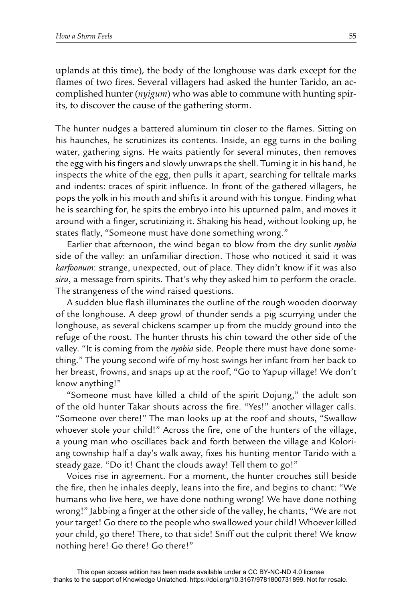uplands at this time), the body of the longhouse was dark except for the flames of two fires. Several villagers had asked the hunter Tarido, an accomplished hunter (*nyigum*) who was able to commune with hunting spirits, to discover the cause of the gathering storm.

The hunter nudges a battered aluminum tin closer to the flames. Sitting on his haunches, he scrutinizes its contents. Inside, an egg turns in the boiling water, gathering signs. He waits patiently for several minutes, then removes the egg with his fingers and slowly unwraps the shell. Turning it in his hand, he inspects the white of the egg, then pulls it apart, searching for telltale marks and indents: traces of spirit influence. In front of the gathered villagers, he pops the yolk in his mouth and shifts it around with his tongue. Finding what he is searching for, he spits the embryo into his upturned palm, and moves it around with a finger, scrutinizing it. Shaking his head, without looking up, he states flatly, "Someone must have done something wrong."

Earlier that afternoon, the wind began to blow from the dry sunlit *nyobia* side of the valley: an unfamiliar direction. Those who noticed it said it was *karfoonum*: strange, unexpected, out of place. They didn't know if it was also *siru*, a message from spirits. That's why they asked him to perform the oracle. The strangeness of the wind raised questions.

A sudden blue flash illuminates the outline of the rough wooden doorway of the longhouse. A deep growl of thunder sends a pig scurrying under the longhouse, as several chickens scamper up from the muddy ground into the refuge of the roost. The hunter thrusts his chin toward the other side of the valley. "It is coming from the *nyobia* side. People there must have done something." The young second wife of my host swings her infant from her back to her breast, frowns, and snaps up at the roof, "Go to Yapup village! We don't know anything!"

"Someone must have killed a child of the spirit Dojung," the adult son of the old hunter Takar shouts across the fire. "Yes!" another villager calls. "Someone over there!" The man looks up at the roof and shouts, "Swallow whoever stole your child!" Across the fire, one of the hunters of the village, a young man who oscillates back and forth between the village and Koloriang township half a day's walk away, fixes his hunting mentor Tarido with a steady gaze. "Do it! Chant the clouds away! Tell them to go!"

Voices rise in agreement. For a moment, the hunter crouches still beside the fire, then he inhales deeply, leans into the fire, and begins to chant: "We humans who live here, we have done nothing wrong! We have done nothing wrong!" Jabbing a finger at the other side of the valley, he chants, "We are not your target! Go there to the people who swallowed your child! Whoever killed your child, go there! There, to that side! Sniff out the culprit there! We know nothing here! Go there! Go there!"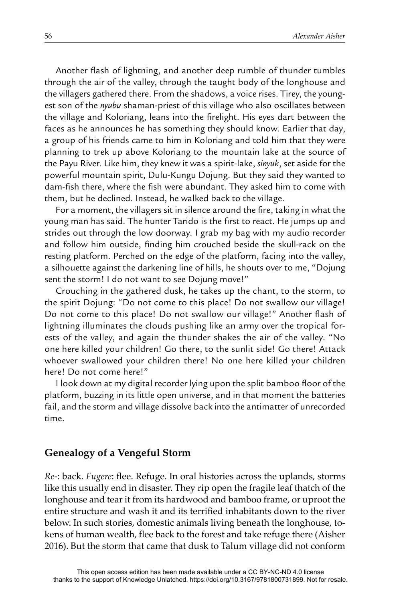Another flash of lightning, and another deep rumble of thunder tumbles through the air of the valley, through the taught body of the longhouse and the villagers gathered there. From the shadows, a voice rises. Tirey, the youngest son of the *nyubu* shaman-priest of this village who also oscillates between the village and Koloriang, leans into the firelight. His eyes dart between the faces as he announces he has something they should know. Earlier that day, a group of his friends came to him in Koloriang and told him that they were planning to trek up above Koloriang to the mountain lake at the source of the Payu River. Like him, they knew it was a spirit-lake, *sinyuk*, set aside for the powerful mountain spirit, Dulu-Kungu Dojung. But they said they wanted to dam-fish there, where the fish were abundant. They asked him to come with them, but he declined. Instead, he walked back to the village.

For a moment, the villagers sit in silence around the fire, taking in what the young man has said. The hunter Tarido is the first to react. He jumps up and strides out through the low doorway. I grab my bag with my audio recorder and follow him outside, finding him crouched beside the skull-rack on the resting platform. Perched on the edge of the platform, facing into the valley, a silhouette against the darkening line of hills, he shouts over to me, "Dojung sent the storm! I do not want to see Dojung move!"

Crouching in the gathered dusk, he takes up the chant, to the storm, to the spirit Dojung: "Do not come to this place! Do not swallow our village! Do not come to this place! Do not swallow our village!" Another flash of lightning illuminates the clouds pushing like an army over the tropical forests of the valley, and again the thunder shakes the air of the valley. "No one here killed your children! Go there, to the sunlit side! Go there! Attack whoever swallowed your children there! No one here killed your children here! Do not come here!"

I look down at my digital recorder lying upon the split bamboo floor of the platform, buzzing in its little open universe, and in that moment the batteries fail, and the storm and village dissolve back into the antimatter of unrecorded time.

#### **Genealogy of a Vengeful Storm**

*Re*-: back. *Fugere*: flee. Refuge. In oral histories across the uplands, storms like this usually end in disaster. They rip open the fragile leaf thatch of the longhouse and tear it from its hardwood and bamboo frame, or uproot the entire structure and wash it and its terrified inhabitants down to the river below. In such stories, domestic animals living beneath the longhouse, tokens of human wealth, flee back to the forest and take refuge there (Aisher 2016). But the storm that came that dusk to Talum village did not conform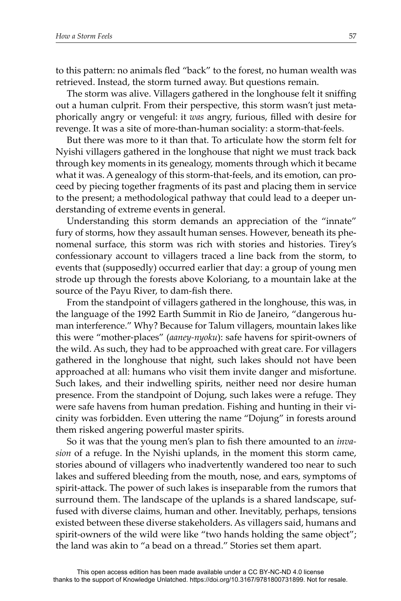to this pattern: no animals fled "back" to the forest, no human wealth was retrieved. Instead, the storm turned away. But questions remain.

The storm was alive. Villagers gathered in the longhouse felt it sniffing out a human culprit. From their perspective, this storm wasn't just metaphorically angry or vengeful: it *was* angry, furious, filled with desire for revenge. It was a site of more-than-human sociality: a storm-that-feels.

But there was more to it than that. To articulate how the storm felt for Nyishi villagers gathered in the longhouse that night we must track back through key moments in its genealogy, moments through which it became what it was. A genealogy of this storm-that-feels, and its emotion, can proceed by piecing together fragments of its past and placing them in service to the present; a methodological pathway that could lead to a deeper understanding of extreme events in general.

Understanding this storm demands an appreciation of the "innate" fury of storms, how they assault human senses. However, beneath its phenomenal surface, this storm was rich with stories and histories. Tirey's confessionary account to villagers traced a line back from the storm, to events that (supposedly) occurred earlier that day: a group of young men strode up through the forests above Koloriang, to a mountain lake at the source of the Payu River, to dam-fish there.

From the standpoint of villagers gathered in the longhouse, this was, in the language of the 1992 Earth Summit in Rio de Janeiro, "dangerous human interference." Why? Because for Talum villagers, mountain lakes like this were "mother-places" (*aaney-nyoku*): safe havens for spirit-owners of the wild. As such, they had to be approached with great care. For villagers gathered in the longhouse that night, such lakes should not have been approached at all: humans who visit them invite danger and misfortune. Such lakes, and their indwelling spirits, neither need nor desire human presence. From the standpoint of Dojung, such lakes were a refuge. They were safe havens from human predation. Fishing and hunting in their vicinity was forbidden. Even uttering the name "Dojung" in forests around them risked angering powerful master spirits.

So it was that the young men's plan to fish there amounted to an *invasion* of a refuge. In the Nyishi uplands, in the moment this storm came, stories abound of villagers who inadvertently wandered too near to such lakes and suffered bleeding from the mouth, nose, and ears, symptoms of spirit-attack. The power of such lakes is inseparable from the rumors that surround them. The landscape of the uplands is a shared landscape, suffused with diverse claims, human and other. Inevitably, perhaps, tensions existed between these diverse stakeholders. As villagers said, humans and spirit-owners of the wild were like "two hands holding the same object"; the land was akin to "a bead on a thread." Stories set them apart.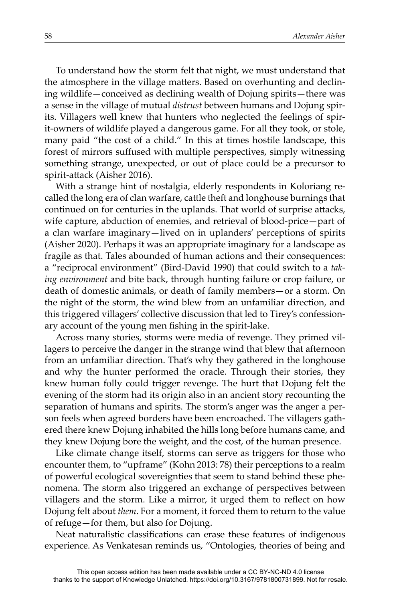To understand how the storm felt that night, we must understand that the atmosphere in the village matters. Based on overhunting and declining wildlife—conceived as declining wealth of Dojung spirits—there was a sense in the village of mutual *distrust* between humans and Dojung spirits. Villagers well knew that hunters who neglected the feelings of spirit-owners of wildlife played a dangerous game. For all they took, or stole, many paid "the cost of a child." In this at times hostile landscape, this forest of mirrors suffused with multiple perspectives, simply witnessing something strange, unexpected, or out of place could be a precursor to spirit-attack (Aisher 2016).

With a strange hint of nostalgia, elderly respondents in Koloriang recalled the long era of clan warfare, cattle theft and longhouse burnings that continued on for centuries in the uplands. That world of surprise attacks, wife capture, abduction of enemies, and retrieval of blood-price—part of a clan warfare imaginary—lived on in uplanders' perceptions of spirits (Aisher 2020). Perhaps it was an appropriate imaginary for a landscape as fragile as that. Tales abounded of human actions and their consequences: a "reciprocal environment" (Bird-David 1990) that could switch to a *taking environment* and bite back, through hunting failure or crop failure, or death of domestic animals, or death of family members—or a storm. On the night of the storm, the wind blew from an unfamiliar direction, and this triggered villagers' collective discussion that led to Tirey's confessionary account of the young men fishing in the spirit-lake.

Across many stories, storms were media of revenge. They primed villagers to perceive the danger in the strange wind that blew that afternoon from an unfamiliar direction. That's why they gathered in the longhouse and why the hunter performed the oracle. Through their stories, they knew human folly could trigger revenge. The hurt that Dojung felt the evening of the storm had its origin also in an ancient story recounting the separation of humans and spirits. The storm's anger was the anger a person feels when agreed borders have been encroached. The villagers gathered there knew Dojung inhabited the hills long before humans came, and they knew Dojung bore the weight, and the cost, of the human presence.

Like climate change itself, storms can serve as triggers for those who encounter them, to "upframe" (Kohn 2013: 78) their perceptions to a realm of powerful ecological sovereignties that seem to stand behind these phenomena. The storm also triggered an exchange of perspectives between villagers and the storm. Like a mirror, it urged them to reflect on how Dojung felt about *them*. For a moment, it forced them to return to the value of refuge—for them, but also for Dojung.

Neat naturalistic classifications can erase these features of indigenous experience. As Venkatesan reminds us, "Ontologies, theories of being and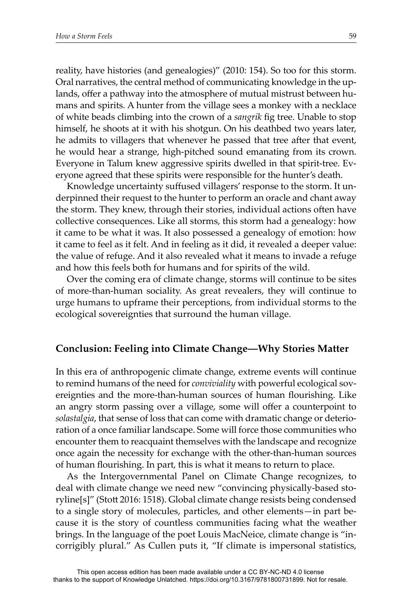reality, have histories (and genealogies)" (2010: 154). So too for this storm. Oral narratives, the central method of communicating knowledge in the uplands, offer a pathway into the atmosphere of mutual mistrust between humans and spirits. A hunter from the village sees a monkey with a necklace of white beads climbing into the crown of a *sangrik* fig tree. Unable to stop himself, he shoots at it with his shotgun. On his deathbed two years later, he admits to villagers that whenever he passed that tree after that event, he would hear a strange, high-pitched sound emanating from its crown. Everyone in Talum knew aggressive spirits dwelled in that spirit-tree. Everyone agreed that these spirits were responsible for the hunter's death.

Knowledge uncertainty suffused villagers' response to the storm. It underpinned their request to the hunter to perform an oracle and chant away the storm. They knew, through their stories, individual actions often have collective consequences. Like all storms, this storm had a genealogy: how it came to be what it was. It also possessed a genealogy of emotion: how it came to feel as it felt. And in feeling as it did, it revealed a deeper value: the value of refuge. And it also revealed what it means to invade a refuge and how this feels both for humans and for spirits of the wild.

Over the coming era of climate change, storms will continue to be sites of more-than-human sociality. As great revealers, they will continue to urge humans to upframe their perceptions, from individual storms to the ecological sovereignties that surround the human village.

# **Conclusion: Feeling into Climate Change—Why Stories Matter**

In this era of anthropogenic climate change, extreme events will continue to remind humans of the need for *conviviality* with powerful ecological sovereignties and the more-than-human sources of human flourishing. Like an angry storm passing over a village, some will offer a counterpoint to *solastalgia*, that sense of loss that can come with dramatic change or deterioration of a once familiar landscape. Some will force those communities who encounter them to reacquaint themselves with the landscape and recognize once again the necessity for exchange with the other-than-human sources of human flourishing. In part, this is what it means to return to place.

As the Intergovernmental Panel on Climate Change recognizes, to deal with climate change we need new "convincing physically-based storyline[s]" (Stott 2016: 1518). Global climate change resists being condensed to a single story of molecules, particles, and other elements—in part because it is the story of countless communities facing what the weather brings. In the language of the poet Louis MacNeice, climate change is "incorrigibly plural." As Cullen puts it, "If climate is impersonal statistics,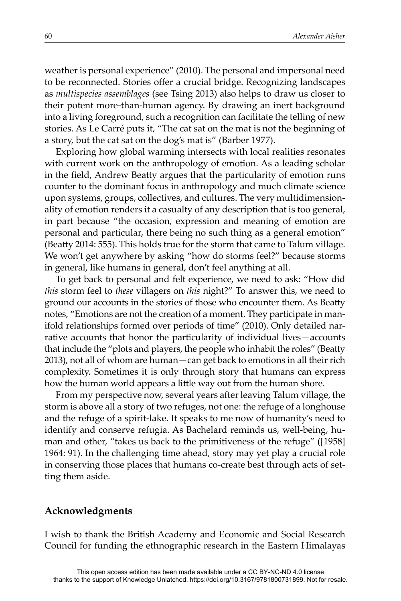weather is personal experience" (2010). The personal and impersonal need to be reconnected. Stories offer a crucial bridge. Recognizing landscapes as *multispecies assemblages* (see Tsing 2013) also helps to draw us closer to their potent more-than-human agency. By drawing an inert background into a living foreground, such a recognition can facilitate the telling of new stories. As Le Carré puts it, "The cat sat on the mat is not the beginning of a story, but the cat sat on the dog's mat is" (Barber 1977).

Exploring how global warming intersects with local realities resonates with current work on the anthropology of emotion. As a leading scholar in the field, Andrew Beatty argues that the particularity of emotion runs counter to the dominant focus in anthropology and much climate science upon systems, groups, collectives, and cultures. The very multidimensionality of emotion renders it a casualty of any description that is too general, in part because "the occasion, expression and meaning of emotion are personal and particular, there being no such thing as a general emotion" (Beatty 2014: 555). This holds true for the storm that came to Talum village. We won't get anywhere by asking "how do storms feel?" because storms in general, like humans in general, don't feel anything at all.

To get back to personal and felt experience, we need to ask: "How did *this* storm feel to *these* villagers on *this* night?" To answer this, we need to ground our accounts in the stories of those who encounter them. As Beatty notes, "Emotions are not the creation of a moment. They participate in manifold relationships formed over periods of time" (2010). Only detailed narrative accounts that honor the particularity of individual lives—accounts that include the "plots and players, the people who inhabit the roles" (Beatty 2013), not all of whom are human—can get back to emotions in all their rich complexity. Sometimes it is only through story that humans can express how the human world appears a little way out from the human shore.

From my perspective now, several years after leaving Talum village, the storm is above all a story of two refuges, not one: the refuge of a longhouse and the refuge of a spirit-lake. It speaks to me now of humanity's need to identify and conserve refugia. As Bachelard reminds us, well-being, human and other, "takes us back to the primitiveness of the refuge" ([1958] 1964: 91). In the challenging time ahead, story may yet play a crucial role in conserving those places that humans co-create best through acts of setting them aside.

#### **Acknowledgments**

I wish to thank the British Academy and Economic and Social Research Council for funding the ethnographic research in the Eastern Himalayas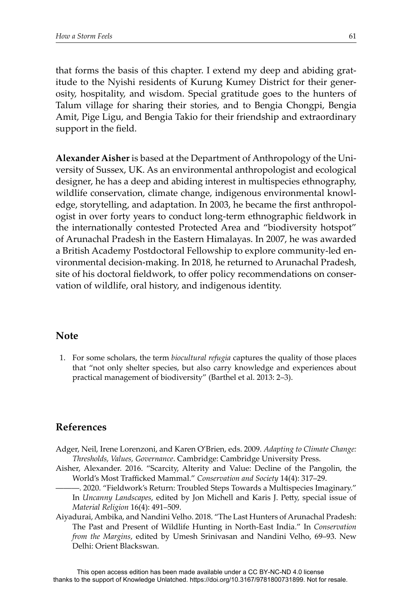that forms the basis of this chapter. I extend my deep and abiding gratitude to the Nyishi residents of Kurung Kumey District for their generosity, hospitality, and wisdom. Special gratitude goes to the hunters of Talum village for sharing their stories, and to Bengia Chongpi, Bengia Amit, Pige Ligu, and Bengia Takio for their friendship and extraordinary support in the field.

**Alexander Aisher** is based at the Department of Anthropology of the University of Sussex, UK. As an environmental anthropologist and ecological designer, he has a deep and abiding interest in multispecies ethnography, wildlife conservation, climate change, indigenous environmental knowledge, storytelling, and adaptation. In 2003, he became the first anthropologist in over forty years to conduct long-term ethnographic fieldwork in the internationally contested Protected Area and "biodiversity hotspot" of Arunachal Pradesh in the Eastern Himalayas. In 2007, he was awarded a British Academy Postdoctoral Fellowship to explore community-led environmental decision-making. In 2018, he returned to Arunachal Pradesh, site of his doctoral fieldwork, to offer policy recommendations on conservation of wildlife, oral history, and indigenous identity.

#### **Note**

1. For some scholars, the term *biocultural refugia* captures the quality of those places that "not only shelter species, but also carry knowledge and experiences about practical management of biodiversity" (Barthel et al. 2013: 2–3).

## **References**

- Adger, Neil, Irene Lorenzoni, and Karen O'Brien, eds. 2009. *Adapting to Climate Change: Thresholds, Values, Governance*. Cambridge: Cambridge University Press.
- Aisher, Alexander. 2016. "Scarcity, Alterity and Value: Decline of the Pangolin, the World's Most Trafficked Mammal." *Conservation and Society* 14(4): 317–29.
	- -. 2020. "Fieldwork's Return: Troubled Steps Towards a Multispecies Imaginary." In *Uncanny Landscapes,* edited by Jon Michell and Karis J. Petty, special issue of *Material Religion* 16(4): 491–509.
- Aiyadurai, Ambika, and Nandini Velho. 2018. "The Last Hunters of Arunachal Pradesh: The Past and Present of Wildlife Hunting in North-East India." In *Conservation from the Margins*, edited by Umesh Srinivasan and Nandini Velho, 69–93. New Delhi: Orient Blackswan.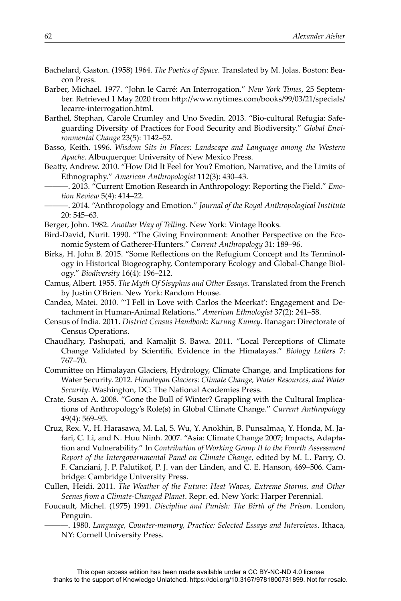- Bachelard, Gaston. (1958) 1964. *The Poetics of Space*. Translated by M. Jolas. Boston: Beacon Press.
- Barber, Michael. 1977. "John le Carré: An Interrogation." *New York Times*, 25 September. Retrieved 1 May 2020 from http://www.nytimes.com/books/99/03/21/specials/ lecarre-interrogation.html.
- Barthel, Stephan, Carole Crumley and Uno Svedin. 2013. "Bio-cultural Refugia: Safeguarding Diversity of Practices for Food Security and Biodiversity." *Global Environmental Change* 23(5): 1142–52.
- Basso, Keith. 1996. *Wisdom Sits in Places: Landscape and Language among the Western Apache*. Albuquerque: University of New Mexico Press.
- Beatty, Andrew. 2010. "How Did It Feel for You? Emotion, Narrative, and the Limits of Ethnography." *American Anthropologist* 112(3): 430–43.
	- ———. 2013. "Current Emotion Research in Anthropology: Reporting the Field." *Emotion Review* 5(4): 414–22.
	- ———. 2014. "Anthropology and Emotion." *Journal of the Royal Anthropological Institute* 20: 545–63.
- Berger, John. 1982. *Another Way of Telling*. New York: Vintage Books.
- Bird-David, Nurit. 1990. "The Giving Environment: Another Perspective on the Economic System of Gatherer-Hunters." *Current Anthropology* 31: 189–96.
- Birks, H. John B. 2015. "Some Reflections on the Refugium Concept and Its Terminology in Historical Biogeography, Contemporary Ecology and Global-Change Biology." *Biodiversity* 16(4): 196–212.
- Camus, Albert. 1955. *The Myth Of Sisyphus and Other Essays*. Translated from the French by Justin O'Brien. New York: Random House.
- Candea, Matei. 2010. "'I Fell in Love with Carlos the Meerkat': Engagement and Detachment in Human-Animal Relations." *American Ethnologist* 37(2): 241–58.
- Census of India. 2011. *District Census Handbook: Kurung Kumey*. Itanagar: Directorate of Census Operations.
- Chaudhary, Pashupati, and Kamaljit S. Bawa. 2011. "Local Perceptions of Climate Change Validated by Scientific Evidence in the Himalayas." *Biology Letters* 7: 767–70.
- Committee on Himalayan Glaciers, Hydrology, Climate Change, and Implications for Water Security. 2012. *Himalayan Glaciers: Climate Change, Water Resources, and Water Security*. Washington, DC: The National Academies Press.
- Crate, Susan A. 2008. "Gone the Bull of Winter? Grappling with the Cultural Implications of Anthropology's Role(s) in Global Climate Change." *Current Anthropology* 49(4): 569–95.
- Cruz, Rex. V., H. Harasawa, M. Lal, S. Wu, Y. Anokhin, B. Punsalmaa, Y. Honda, M. Jafari, C. Li, and N. Huu Ninh. 2007. "Asia: Climate Change 2007; Impacts, Adaptation and Vulnerability." In *Contribution of Working Group II to the Fourth Assessment Report of the Intergovernmental Panel on Climate Change*, edited by M. L. Parry, O. F. Canziani, J. P. Palutikof, P. J. van der Linden, and C. E. Hanson, 469–506. Cambridge: Cambridge University Press.
- Cullen, Heidi. 2011. *The Weather of the Future: Heat Waves, Extreme Storms, and Other Scenes from a Climate-Changed Planet*. Repr. ed. New York: Harper Perennial.
- Foucault, Michel. (1975) 1991. *Discipline and Punish: The Birth of the Prison*. London, Penguin.
	- ———. 1980. *Language, Counter-memory, Practice: Selected Essays and Interviews*. Ithaca, NY: Cornell University Press.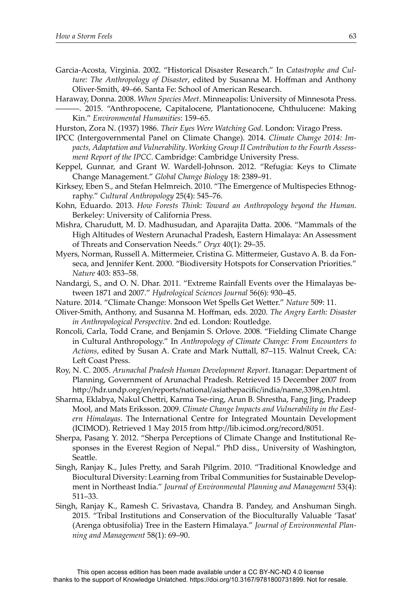- Garcia-Acosta, Virginia. 2002. "Historical Disaster Research." In *Catastrophe and Culture: The Anthropology of Disaster, edited by Susanna M. Hoffman and Anthony* Oliver-Smith, 49–66. Santa Fe: School of American Research.
- Haraway, Donna. 2008. *When Species Meet*. Minneapolis: University of Minnesota Press. -. 2015. "Anthropocene, Capitalocene, Plantationocene, Chthulucene: Making Kin." *Environmental Humanities*: 159–65.
- Hurston, Zora N. (1937) 1986. *Their Eyes Were Watching God*. London: Virago Press.
- IPCC (Intergovernmental Panel on Climate Change). 2014. *Climate Change 2014: Impacts, Adaptation and Vulnerability*. *Working Group II Contribution to the Fourth Assessment Report of the IPCC*. Cambridge: Cambridge University Press.
- Keppel, Gunnar, and Grant W. Wardell-Johnson. 2012. "Refugia: Keys to Climate Change Management." *Global Change Biology* 18: 2389–91.
- Kirksey, Eben S., and Stefan Helmreich. 2010. "The Emergence of Multispecies Ethnography." *Cultural Anthropology* 25(4): 545–76.
- Kohn, Eduardo. 2013. *How Forests Think: Toward an Anthropology beyond the Human*. Berkeley: University of California Press.
- Mishra, Charudutt, M. D. Madhusudan, and Aparajita Datta. 2006. "Mammals of the High Altitudes of Western Arunachal Pradesh, Eastern Himalaya: An Assessment of Threats and Conservation Needs." *Oryx* 40(1): 29–35.
- Myers, Norman, Russell A. Mittermeier, Cristina G. Mittermeier, Gustavo A. B. da Fonseca, and Jennifer Kent. 2000. "Biodiversity Hotspots for Conservation Priorities." *Nature* 403: 853–58.
- Nandargi, S., and O. N. Dhar. 2011. "Extreme Rainfall Events over the Himalayas between 1871 and 2007." *Hydrological Sciences Journal* 56(6): 930–45.
- Nature. 2014. "Climate Change: Monsoon Wet Spells Get Wetter." *Nature* 509: 11.
- Oliver-Smith, Anthony, and Susanna M. Hoff man, eds. 2020. *The Angry Earth: Disaster in Anthropological Perspective*. 2nd ed. London: Routledge.
- Roncoli, Carla, Todd Crane, and Benjamin S. Orlove. 2008. "Fielding Climate Change in Cultural Anthropology." In *Anthropology of Climate Change: From Encounters to*  Actions, edited by Susan A. Crate and Mark Nuttall, 87-115. Walnut Creek, CA: Left Coast Press.
- Roy, N. C. 2005. *Arunachal Pradesh Human Development Report*. Itanagar: Department of Planning, Government of Arunachal Pradesh. Retrieved 15 December 2007 from http://hdr.undp.org/en/reports/national/asiathepacific/india/name,3398,en.html.
- Sharma, Eklabya, Nakul Chettri, Karma Tse-ring, Arun B. Shrestha, Fang Jing, Pradeep Mool, and Mats Eriksson. 2009*. Climate Change Impacts and Vulnerability in the Eastern Himalayas*. The International Centre for Integrated Mountain Development (ICIMOD). Retrieved 1 May 2015 from http://lib.icimod.org/record/8051.
- Sherpa, Pasang Y. 2012. "Sherpa Perceptions of Climate Change and Institutional Responses in the Everest Region of Nepal." PhD diss., University of Washington, Seattle.
- Singh, Ranjay K., Jules Pretty, and Sarah Pilgrim. 2010. "Traditional Knowledge and Biocultural Diversity: Learning from Tribal Communities for Sustainable Development in Northeast India." *Journal of Environmental Planning and Management* 53(4): 511–33.
- Singh, Ranjay K., Ramesh C. Srivastava, Chandra B. Pandey, and Anshuman Singh. 2015. "Tribal Institutions and Conservation of the Bioculturally Valuable 'Tasat' (Arenga obtusifolia) Tree in the Eastern Himalaya." *Journal of Environmental Planning and Management* 58(1): 69–90.